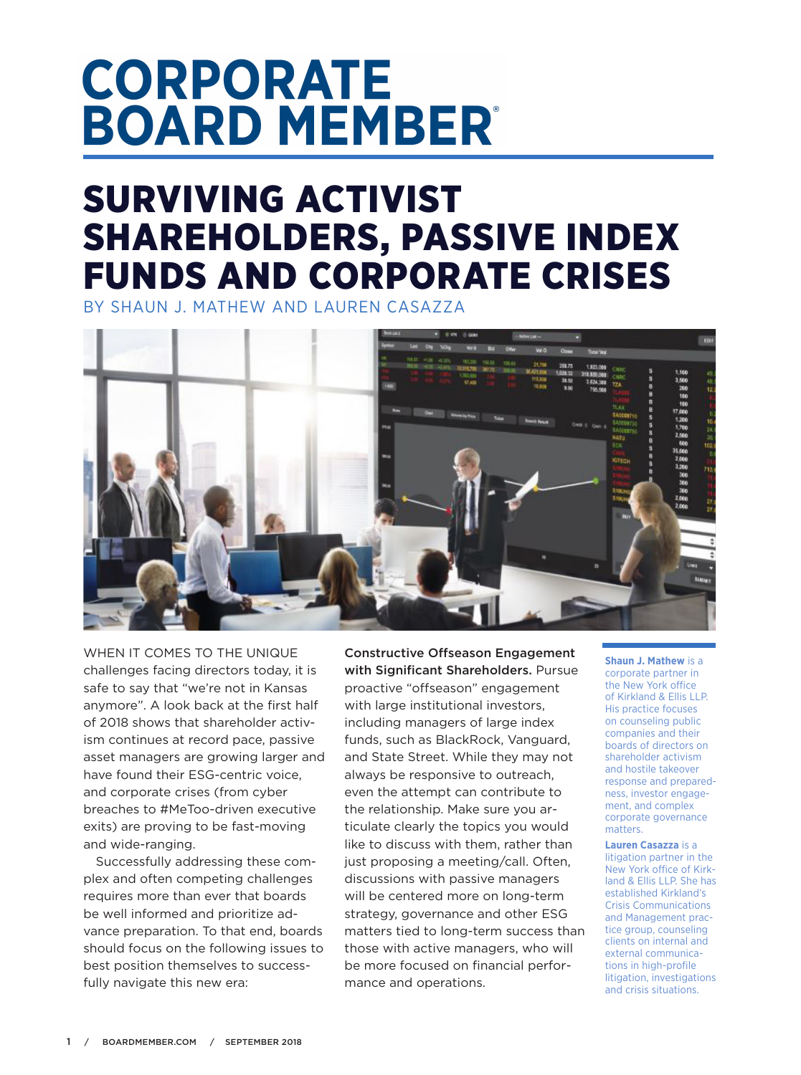## **CORPORATE BOARD MEMBER**

## SURVIVING ACTIVIST SHAREHOLDERS, PASSIVE INDEX FUNDS AND CORPORATE CRISES

BY SHAUN J. MATHEW AND LAUREN CASAZZA



WHEN IT COMES TO THE UNIQUE challenges facing directors today, it is safe to say that "we're not in Kansas anymore". A look back at the first half of 2018 shows that shareholder activism continues at record pace, passive asset managers are growing larger and have found their ESG-centric voice, and corporate crises (from cyber breaches to #MeToo-driven executive exits) are proving to be fast-moving and wide-ranging.

Successfully addressing these complex and often competing challenges requires more than ever that boards be well informed and prioritize advance preparation. To that end, boards should focus on the following issues to best position themselves to successfully navigate this new era:

Constructive Offseason Engagement with Significant Shareholders. Pursue proactive "offseason" engagement with large institutional investors, including managers of large index funds, such as BlackRock, Vanguard, and State Street. While they may not always be responsive to outreach, even the attempt can contribute to the relationship. Make sure you articulate clearly the topics you would like to discuss with them, rather than just proposing a meeting/call. Often, discussions with passive managers will be centered more on long-term strategy, governance and other ESG matters tied to long-term success than those with active managers, who will be more focused on financial performance and operations.

**Shaun J. Mathew** is a corporate partner in the New York office of Kirkland & Ellis LLP. His practice focuses on counseling public companies and their boards of directors on shareholder activism and hostile takeover response and preparedness, investor engagement, and complex corporate governance matters.

**Lauren Casazza** is a litigation partner in the New York office of Kirkland & Ellis LLP. She has established Kirkland's Crisis Communications and Management practice group, counseling clients on internal and external communications in high-profile litigation, investigations and crisis situations.